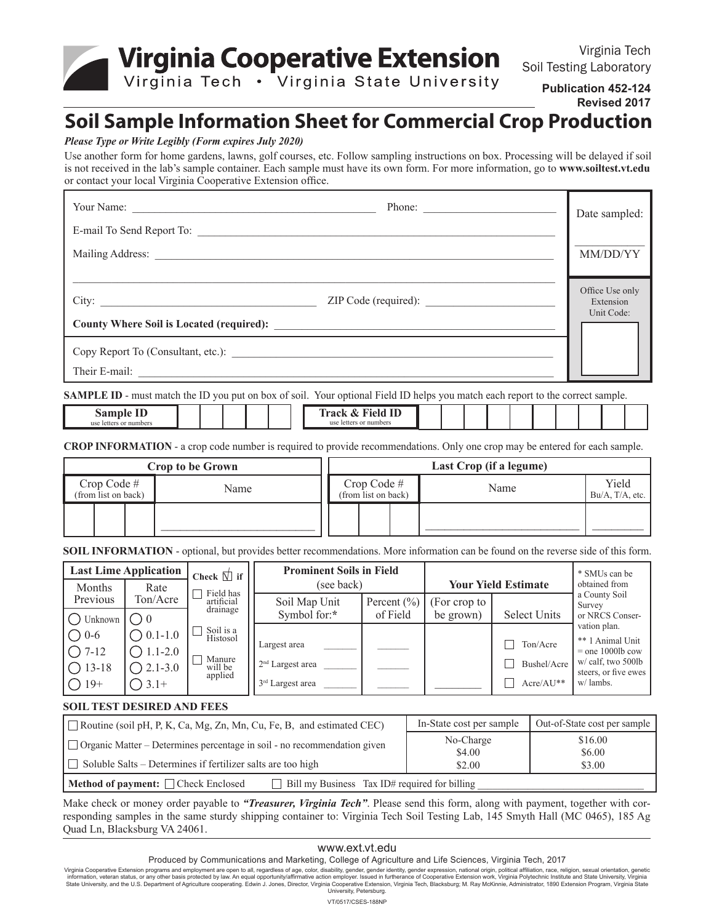**Virginia Cooperative Extension** 

Virginia Tech Soil Testing Laboratory

Virginia Tech . Virginia State University

**Publication 452-124 Revised 2017**

# **Soil Sample Information Sheet for Commercial Crop Production**

#### *Please Type or Write Legibly (Form expires July 2020)*

Use another form for home gardens, lawns, golf courses, etc. Follow sampling instructions on box. Processing will be delayed if soil is not received in the lab's sample container. Each sample must have its own form. For more information, go to **www.soiltest.vt.edu** or contact your local Virginia Cooperative Extension office.

|                           | Phone: $\frac{1}{\sqrt{1-\frac{1}{2}}\sqrt{1-\frac{1}{2}}\sqrt{1-\frac{1}{2}}\sqrt{1-\frac{1}{2}}\sqrt{1-\frac{1}{2}}\sqrt{1-\frac{1}{2}}\sqrt{1-\frac{1}{2}}\sqrt{1-\frac{1}{2}}\sqrt{1-\frac{1}{2}}\sqrt{1-\frac{1}{2}}\sqrt{1-\frac{1}{2}}\sqrt{1-\frac{1}{2}}\sqrt{1-\frac{1}{2}}\sqrt{1-\frac{1}{2}}\sqrt{1-\frac{1}{2}}\sqrt{1-\frac{1}{2}}\sqrt{1-\frac{1}{2}}\sqrt{1-\frac{1}{2}}\sqrt{1-\frac{1}{2$ | Date sampled:                |
|---------------------------|--------------------------------------------------------------------------------------------------------------------------------------------------------------------------------------------------------------------------------------------------------------------------------------------------------------------------------------------------------------------------------------------------------------|------------------------------|
| E-mail To Send Report To: |                                                                                                                                                                                                                                                                                                                                                                                                              |                              |
|                           |                                                                                                                                                                                                                                                                                                                                                                                                              | MM/DD/YY                     |
| City:                     | ZIP Code (required):                                                                                                                                                                                                                                                                                                                                                                                         | Office Use only<br>Extension |
|                           |                                                                                                                                                                                                                                                                                                                                                                                                              | Unit Code:                   |
|                           |                                                                                                                                                                                                                                                                                                                                                                                                              |                              |
|                           |                                                                                                                                                                                                                                                                                                                                                                                                              |                              |

**SAMPLE ID** - must match the ID you put on box of soil. Your optional Field ID helps you match each report to the correct sample.

| sample<br>use letters<br>r numbers |  |  |  |  |  |  | <b>Field ID</b><br>frack<br>$\alpha$<br>use<br>or numbers<br>letters |  |  |  |  |  |  |  |
|------------------------------------|--|--|--|--|--|--|----------------------------------------------------------------------|--|--|--|--|--|--|--|
|------------------------------------|--|--|--|--|--|--|----------------------------------------------------------------------|--|--|--|--|--|--|--|

**CROP INFORMATION** - a crop code number is required to provide recommendations. Only one crop may be entered for each sample.

|                                       | <b>Crop to be Grown</b> |                                       | Last Crop (if a legume) |                          |
|---------------------------------------|-------------------------|---------------------------------------|-------------------------|--------------------------|
| $Crop Code \#$<br>(from list on back) | Name                    | $Crop Code \#$<br>(from list on back) | Name                    | Yield<br>Bu/A, T/A, etc. |
|                                       |                         |                                       |                         |                          |

**SOIL INFORMATION** - optional, but provides better recommendations. More information can be found on the reverse side of this form.

| <b>Last Lime Application</b><br>Check $\Box$ if |                              |                         | <b>Prominent Soils in Field</b><br>(see back) |                 | <b>Your Yield Estimate</b> | * SMUs can be<br>obtained from |                                          |  |
|-------------------------------------------------|------------------------------|-------------------------|-----------------------------------------------|-----------------|----------------------------|--------------------------------|------------------------------------------|--|
| Months<br>Previous                              | Rate<br>Ton/Acre             | Field has<br>artificial | Soil Map Unit                                 | Percent $(\% )$ | (For crop to               |                                | a County Soil<br>Survey                  |  |
| Unknown                                         | ()0                          | drainage                | Symbol for:*                                  | of Field        | be grown)                  | <b>Select Units</b>            | or NRCS Conser-                          |  |
| $\bigcirc$ 0-6                                  | $0.1 - 1.0$<br>$\rightarrow$ | Soil is a<br>Histosol   | Largest area                                  |                 |                            | Ton/Acre                       | vation plan.<br>** 1 Animal Unit         |  |
| $\bigcirc$ 7-12                                 | $\bigcirc$ 1.1-2.0           | Manure                  |                                               |                 |                            |                                | $=$ one 1000lb cow<br>w/ calf, two 500lb |  |
| $\bigcirc$ 13-18                                | $\bigcirc$ 2.1-3.0           | will be<br>applied      | $2nd$ Largest area                            |                 |                            | Bushel/Acre                    | steers, or five ewes                     |  |
| $() 19+$                                        | $\bigcirc$ 3.1+              |                         | 3 <sup>rd</sup> Largest area                  |                 |                            | $Acre/AU**$                    | w/lambs.                                 |  |

#### **SOIL TEST DESIRED AND FEES**

| $\Box$ Routine (soil pH, P, K, Ca, Mg, Zn, Mn, Cu, Fe, B, and estimated CEC)              | In-State cost per sample | Out-of-State cost per sample |  |  |  |
|-------------------------------------------------------------------------------------------|--------------------------|------------------------------|--|--|--|
| $\Box$ Organic Matter – Determines percentage in soil - no recommendation given           | No-Charge<br>\$4.00      | \$16.00<br>\$6.00            |  |  |  |
| $\Box$ Soluble Salts – Determines if fertilizer salts are too high                        | \$2.00                   | \$3.00                       |  |  |  |
| Method of payment: Check Enclosed<br>$\Box$ Bill my Business Tax ID# required for billing |                          |                              |  |  |  |

Make check or money order payable to *"Treasurer, Virginia Tech"*. Please send this form, along with payment, together with corresponding samples in the same sturdy shipping container to: Virginia Tech Soil Testing Lab, 145 Smyth Hall (MC 0465), 185 Ag Quad Ln, Blacksburg VA 24061.

#### www.ext.vt.edu

Produced by Communications and Marketing, College of Agriculture and Life Sciences, Virginia Tech, 2017

Virginia Cooperative Extension programs and employment are open to all, regardless of age, color, disability, gender, gender identity, gender expression, national origin, political affiliation, race, religion, sexual orien University, Petersburg.